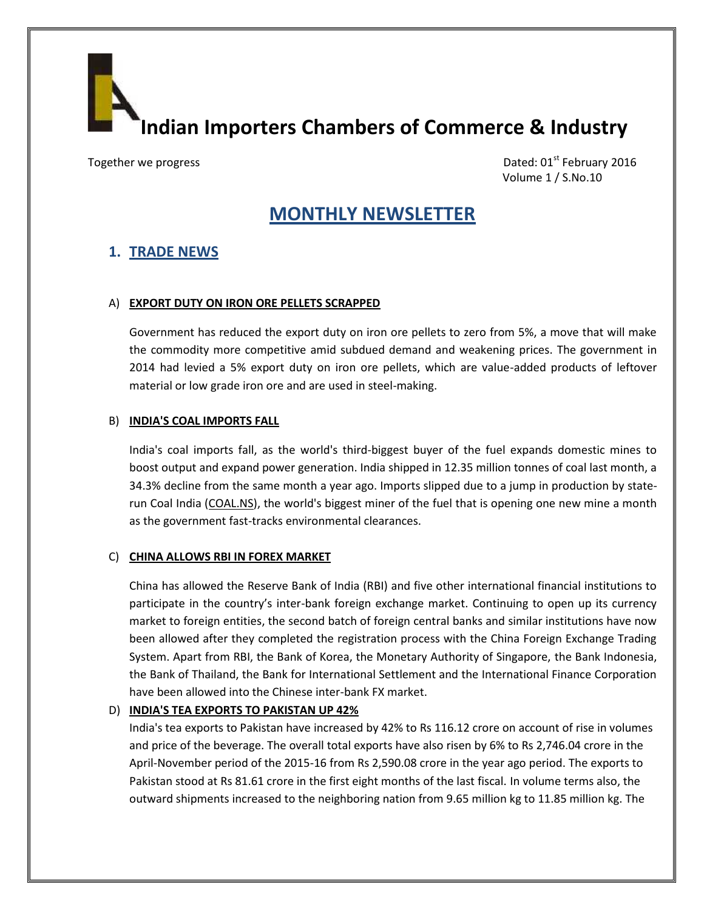**Indian Importers Chambers of Commerce & Industry**

Together we progress **Dated: 01st February 2016** Volume 1 / S.No.10

# **MONTHLY NEWSLETTER**

# **1. TRADE NEWS**

### A) **EXPORT DUTY ON IRON ORE PELLETS SCRAPPED**

Government has reduced the export duty on iron ore pellets to zero from 5%, a move that will make the commodity more competitive amid subdued demand and weakening prices. The government in 2014 had levied a 5% export duty on iron ore pellets, which are value-added products of leftover material or low grade iron ore and are used in steel-making.

### B) **INDIA'S COAL IMPORTS FALL**

India's coal imports fall, as the world's third-biggest buyer of the fuel expands domestic mines to boost output and expand power generation. India shipped in 12.35 million tonnes of coal last month, a 34.3% decline from the same month a year ago. Imports slipped due to a jump in production by staterun Coal India (COAL.NS), the world's biggest miner of the fuel that is opening one new mine a month as the government fast-tracks environmental clearances.

#### C) **CHINA ALLOWS RBI IN FOREX MARKET**

China has allowed the Reserve Bank of India (RBI) and five other international financial institutions to participate in the country's inter-bank foreign exchange market. Continuing to open up its currency market to foreign entities, the second batch of foreign central banks and similar institutions have now been allowed after they completed the registration process with the China Foreign Exchange Trading System. Apart from RBI, the Bank of Korea, the Monetary Authority of Singapore, the Bank Indonesia, the Bank of Thailand, the Bank for International Settlement and the International Finance Corporation have been allowed into the Chinese inter-bank FX market.

## D) **INDIA'S TEA EXPORTS TO PAKISTAN UP 42%**

India's tea exports to Pakistan have increased by 42% to Rs 116.12 crore on account of rise in volumes and price of the beverage. The overall total exports have also risen by 6% to Rs 2,746.04 crore in the April-November period of the 2015-16 from Rs 2,590.08 crore in the year ago period. The exports to Pakistan stood at Rs 81.61 crore in the first eight months of the last fiscal. In volume terms also, the outward shipments increased to the neighboring nation from 9.65 million kg to 11.85 million kg. The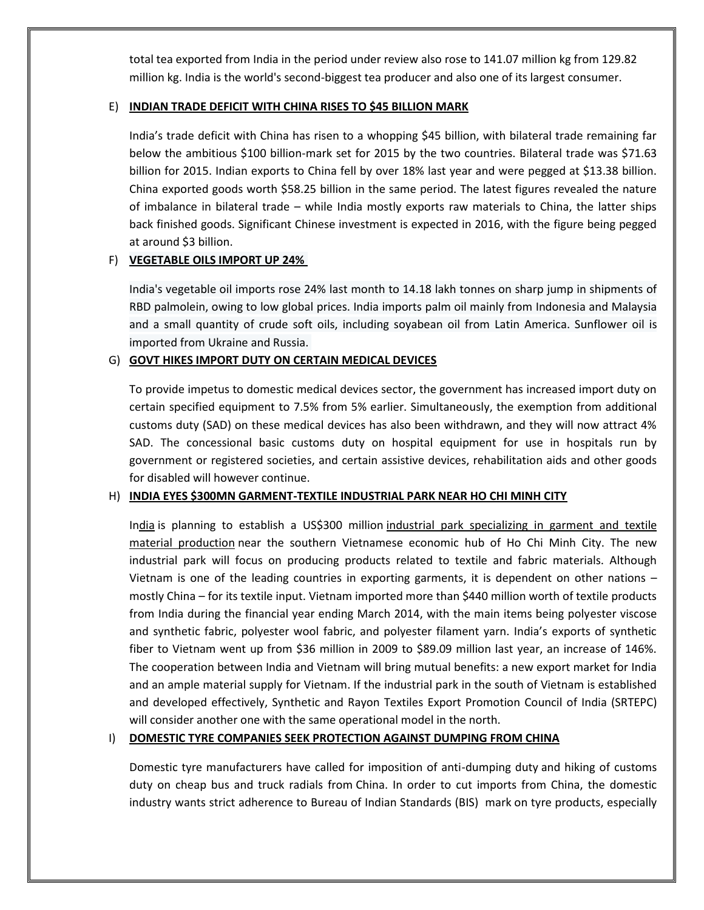total tea exported from India in the period under review also rose to 141.07 million kg from 129.82 million kg. India is the world's second-biggest tea producer and also one of its largest consumer.

## E) **INDIAN TRADE DEFICIT WITH CHINA RISES TO \$45 BILLION MARK**

India's trade deficit with China has risen to a whopping \$45 billion, with bilateral trade remaining far below the ambitious \$100 billion-mark set for 2015 by the two countries. Bilateral trade was \$71.63 billion for 2015. Indian exports to China fell by over 18% last year and were pegged at \$13.38 billion. China exported goods worth \$58.25 billion in the same period. The latest figures revealed the nature of imbalance in bilateral trade – while India mostly exports raw materials to China, the latter ships back finished goods. Significant Chinese investment is expected in 2016, with the figure being pegged at around \$3 billion.

# F) **VEGETABLE OILS IMPORT UP 24%**

India's vegetable oil imports rose 24% last month to 14.18 lakh tonnes on sharp jump in shipments of RBD palmolein, owing to low global prices. India imports palm oil mainly from Indonesia and Malaysia and a small quantity of crude soft oils, including soyabean oil from Latin America. Sunflower oil is imported from Ukraine and Russia.

# G) **GOVT HIKES IMPORT DUTY ON CERTAIN MEDICAL DEVICES**

To provide impetus to domestic medical devices sector, the government has increased import duty on certain specified equipment to 7.5% from 5% earlier. Simultaneously, the exemption from additional customs duty (SAD) on these medical devices has also been withdrawn, and they will now attract 4% SAD. The concessional basic customs duty on hospital equipment for use in hospitals run by government or registered societies, and certain assistive devices, rehabilitation aids and other goods for disabled will however continue.

## H) **INDIA EYES \$300MN GARMENT-TEXTILE INDUSTRIAL PARK NEAR HO CHI MINH CITY**

India is planning to establish a US\$300 million industrial park specializing in garment and textile material production near the southern Vietnamese economic hub of Ho Chi Minh City. The new industrial park will focus on producing products related to textile and fabric materials. Although Vietnam is one of the leading countries in exporting garments, it is dependent on other nations – mostly China – for its textile input. Vietnam imported more than \$440 million worth of textile products from India during the financial year ending March 2014, with the main items being polyester viscose and synthetic fabric, polyester wool fabric, and polyester filament yarn. India's exports of synthetic fiber to Vietnam went up from \$36 million in 2009 to \$89.09 million last year, an increase of 146%. The cooperation between India and Vietnam will bring mutual benefits: a new export market for India and an ample material supply for Vietnam. If the industrial park in the south of Vietnam is established and developed effectively, Synthetic and Rayon Textiles Export Promotion Council of India (SRTEPC) will consider another one with the same operational model in the north.

## I) **DOMESTIC TYRE COMPANIES SEEK PROTECTION AGAINST DUMPING FROM CHINA**

Domestic tyre manufacturers have called for imposition of anti-dumping duty and hiking of customs duty on cheap bus and truck radials from China. In order to cut imports from China, the domestic industry wants strict adherence to Bureau of Indian Standards (BIS) mark on tyre products, especially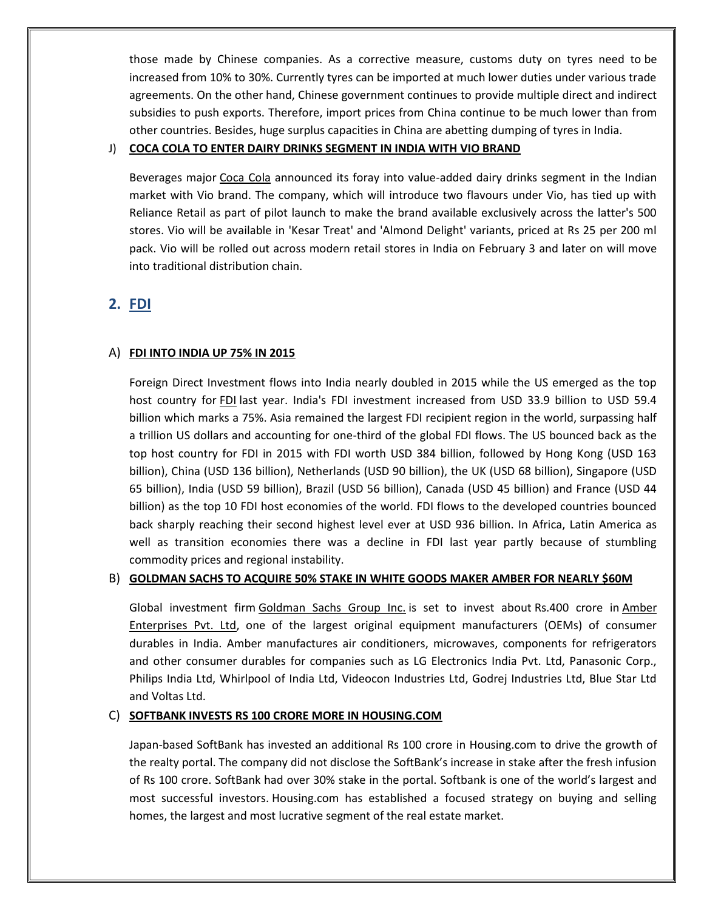those made by Chinese companies. As a corrective measure, customs duty on tyres need to be increased from 10% to 30%. Currently tyres can be imported at much lower duties under various trade agreements. On the other hand, Chinese government continues to provide multiple direct and indirect subsidies to push exports. Therefore, import prices from China continue to be much lower than from other countries. Besides, huge surplus capacities in China are abetting dumping of tyres in India.

## J) **COCA COLA TO ENTER DAIRY DRINKS SEGMENT IN INDIA WITH VIO BRAND**

Beverages major Coca Cola announced its foray into value-added dairy drinks segment in the Indian market with Vio brand. The company, which will introduce two flavours under Vio, has tied up with Reliance Retail as part of pilot launch to make the brand available exclusively across the latter's 500 stores. Vio will be available in 'Kesar Treat' and 'Almond Delight' variants, priced at Rs 25 per 200 ml pack. Vio will be rolled out across modern retail stores in India on February 3 and later on will move into traditional distribution chain.

# **2. FDI**

# A) **FDI INTO INDIA UP 75% IN 2015**

Foreign Direct Investment flows into India nearly doubled in 2015 while the US emerged as the top host country for FDI last year. India's FDI investment increased from USD 33.9 billion to USD 59.4 billion which marks a 75%. Asia remained the largest FDI recipient region in the world, surpassing half a trillion US dollars and accounting for one-third of the global FDI flows. The US bounced back as the top host country for FDI in 2015 with FDI worth USD 384 billion, followed by Hong Kong (USD 163 billion), China (USD 136 billion), Netherlands (USD 90 billion), the UK (USD 68 billion), Singapore (USD 65 billion), India (USD 59 billion), Brazil (USD 56 billion), Canada (USD 45 billion) and France (USD 44 billion) as the top 10 FDI host economies of the world. FDI flows to the developed countries bounced back sharply reaching their second highest level ever at USD 936 billion. In Africa, Latin America as well as transition economies there was a decline in FDI last year partly because of stumbling commodity prices and regional instability.

## B) **GOLDMAN SACHS TO ACQUIRE 50% STAKE IN WHITE GOODS MAKER AMBER FOR NEARLY \$60M**

Global investment firm Goldman Sachs Group Inc. is set to invest about Rs.400 crore in Amber Enterprises Pvt. Ltd, one of the largest original equipment manufacturers (OEMs) of consumer durables in India. Amber manufactures air conditioners, microwaves, components for refrigerators and other consumer durables for companies such as LG Electronics India Pvt. Ltd, Panasonic Corp., Philips India Ltd, Whirlpool of India Ltd, Videocon Industries Ltd, Godrej Industries Ltd, Blue Star Ltd and Voltas Ltd.

## C) **SOFTBANK INVESTS RS 100 CRORE MORE IN HOUSING.COM**

Japan-based SoftBank has invested an additional Rs 100 crore in Housing.com to drive the growth of the realty portal. The company did not disclose the SoftBank's increase in stake after the fresh infusion of Rs 100 crore. SoftBank had over 30% stake in the portal. Softbank is one of the world's largest and most successful investors. Housing.com has established a focused strategy on buying and selling homes, the largest and most lucrative segment of the real estate market.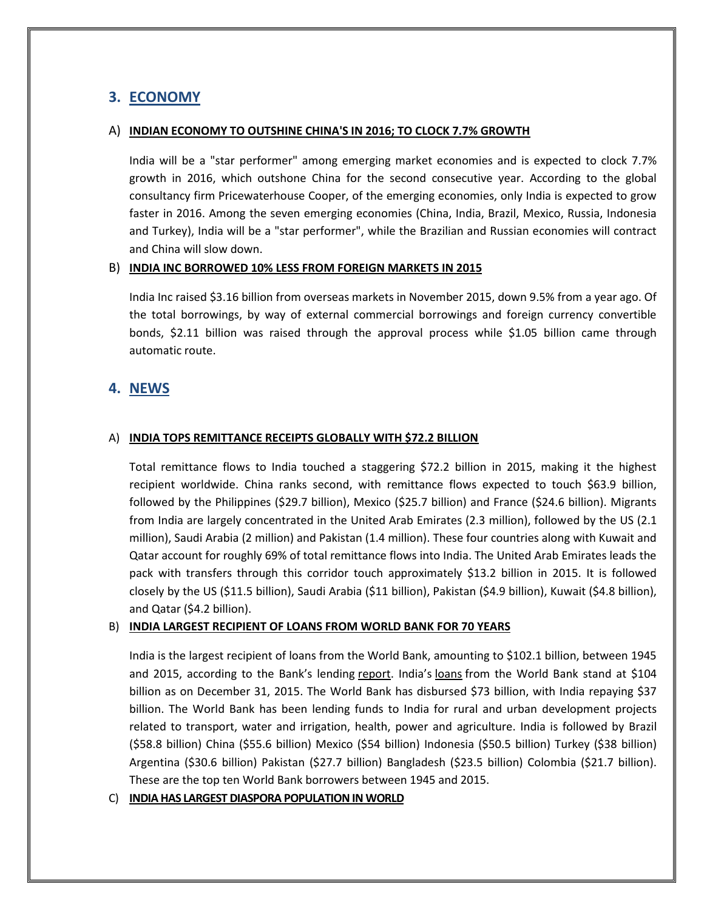# **3. ECONOMY**

### A) **INDIAN ECONOMY TO OUTSHINE CHINA'S IN 2016; TO CLOCK 7.7% GROWTH**

India will be a "star performer" among emerging market economies and is expected to clock 7.7% growth in 2016, which outshone China for the second consecutive year. According to the global consultancy firm Pricewaterhouse Cooper, of the emerging economies, only India is expected to grow faster in 2016. Among the seven emerging economies (China, India, Brazil, Mexico, Russia, Indonesia and Turkey), India will be a "star performer", while the Brazilian and Russian economies will contract and China will slow down.

### B) **INDIA INC BORROWED 10% LESS FROM FOREIGN MARKETS IN 2015**

India Inc raised \$3.16 billion from overseas markets in November 2015, down 9.5% from a year ago. Of the total borrowings, by way of external commercial borrowings and foreign currency convertible bonds, \$2.11 billion was raised through the approval process while \$1.05 billion came through automatic route.

# **4. NEWS**

## A) **INDIA TOPS REMITTANCE RECEIPTS GLOBALLY WITH \$72.2 BILLION**

Total remittance flows to India touched a staggering \$72.2 billion in 2015, making it the highest recipient worldwide. China ranks second, with remittance flows expected to touch \$63.9 billion, followed by the Philippines (\$29.7 billion), Mexico (\$25.7 billion) and France (\$24.6 billion). Migrants from India are largely concentrated in the United Arab Emirates (2.3 million), followed by the US (2.1 million), Saudi Arabia (2 million) and Pakistan (1.4 million). These four countries along with Kuwait and Qatar account for roughly 69% of total remittance flows into India. The United Arab Emirates leads the pack with transfers through this corridor touch approximately \$13.2 billion in 2015. It is followed closely by the US (\$11.5 billion), Saudi Arabia (\$11 billion), Pakistan (\$4.9 billion), Kuwait (\$4.8 billion), and Qatar (\$4.2 billion).

## B) **INDIA LARGEST RECIPIENT OF LOANS FROM WORLD BANK FOR 70 YEARS**

India is the largest recipient of loans from the World Bank, amounting to \$102.1 billion, between 1945 and 2015, according to the Bank's lending report. India's loans from the World Bank stand at \$104 billion as on December 31, 2015. The World Bank has disbursed \$73 billion, with India repaying \$37 billion. The World Bank has been lending funds to India for rural and urban development projects related to transport, water and irrigation, health, power and agriculture. India is followed by Brazil (\$58.8 billion) China (\$55.6 billion) Mexico (\$54 billion) Indonesia (\$50.5 billion) Turkey (\$38 billion) Argentina (\$30.6 billion) Pakistan (\$27.7 billion) Bangladesh (\$23.5 billion) Colombia (\$21.7 billion). These are the top ten World Bank borrowers between 1945 and 2015.

## C) **INDIA HAS LARGEST DIASPORA POPULATION IN WORLD**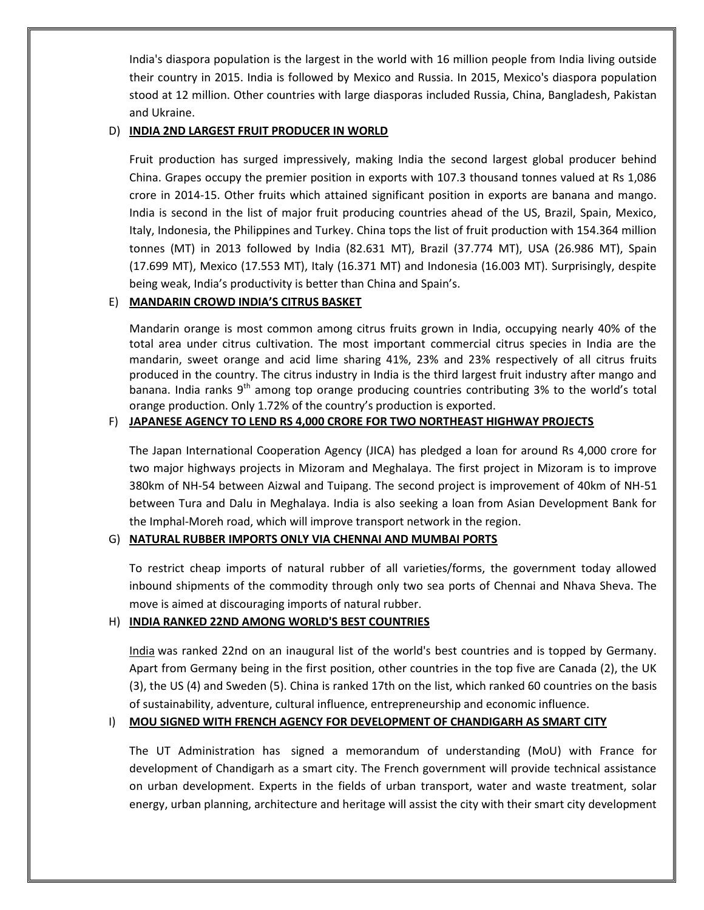India's diaspora population is the largest in the world with 16 million people from India living outside their country in 2015. India is followed by Mexico and Russia. In 2015, Mexico's diaspora population stood at 12 million. Other countries with large diasporas included Russia, China, Bangladesh, Pakistan and Ukraine.

## D) **INDIA 2ND LARGEST FRUIT PRODUCER IN WORLD**

Fruit production has surged impressively, making India the second largest global producer behind China. Grapes occupy the premier position in exports with 107.3 thousand tonnes valued at Rs 1,086 crore in 2014-15. Other fruits which attained significant position in exports are banana and mango. India is second in the list of major fruit producing countries ahead of the US, Brazil, Spain, Mexico, Italy, Indonesia, the Philippines and Turkey. China tops the list of fruit production with 154.364 million tonnes (MT) in 2013 followed by India (82.631 MT), Brazil (37.774 MT), USA (26.986 MT), Spain (17.699 MT), Mexico (17.553 MT), Italy (16.371 MT) and Indonesia (16.003 MT). Surprisingly, despite being weak, India's productivity is better than China and Spain's.

# E) **MANDARIN CROWD INDIA'S CITRUS BASKET**

Mandarin orange is most common among citrus fruits grown in India, occupying nearly 40% of the total area under citrus cultivation. The most important commercial citrus species in India are the mandarin, sweet orange and acid lime sharing 41%, 23% and 23% respectively of all citrus fruits produced in the country. The citrus industry in India is the third largest fruit industry after mango and banana. India ranks  $9<sup>th</sup>$  among top orange producing countries contributing 3% to the world's total orange production. Only 1.72% of the country's production is exported.

# F) **JAPANESE AGENCY TO LEND RS 4,000 CRORE FOR TWO NORTHEAST HIGHWAY PROJECTS**

The Japan International Cooperation Agency (JICA) has pledged a loan for around Rs 4,000 crore for two major highways projects in Mizoram and Meghalaya. The first project in Mizoram is to improve 380km of NH-54 between Aizwal and Tuipang. The second project is improvement of 40km of NH-51 between Tura and Dalu in Meghalaya. India is also seeking a loan from Asian Development Bank for the Imphal-Moreh road, which will improve transport network in the region.

# G) **NATURAL RUBBER IMPORTS ONLY VIA CHENNAI AND MUMBAI PORTS**

To restrict cheap imports of natural rubber of all varieties/forms, the government today allowed inbound shipments of the commodity through only two sea ports of Chennai and Nhava Sheva. The move is aimed at discouraging imports of natural rubber.

# H) **INDIA RANKED 22ND AMONG WORLD'S BEST COUNTRIES**

India was ranked 22nd on an inaugural list of the world's best countries and is topped by Germany. Apart from Germany being in the first position, other countries in the top five are Canada (2), the UK (3), the US (4) and Sweden (5). China is ranked 17th on the list, which ranked 60 countries on the basis of sustainability, adventure, cultural influence, entrepreneurship and economic influence.

# I) **MOU SIGNED WITH FRENCH AGENCY FOR DEVELOPMENT OF CHANDIGARH AS SMART CITY**

The UT Administration has signed a memorandum of understanding (MoU) with France for development of Chandigarh as a smart city. The French government will provide technical assistance on urban development. Experts in the fields of urban transport, water and waste treatment, solar energy, urban planning, architecture and heritage will assist the city with their smart city development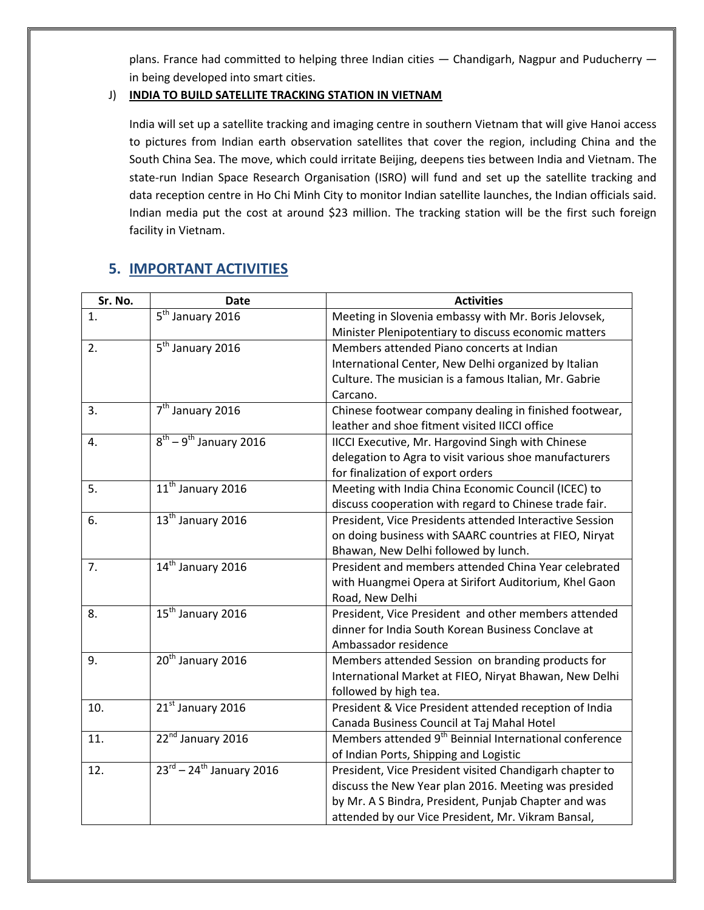plans. France had committed to helping three Indian cities — Chandigarh, Nagpur and Puducherry in being developed into smart cities.

# J) **INDIA TO BUILD SATELLITE TRACKING STATION IN VIETNAM**

India will set up a satellite tracking and imaging centre in southern Vietnam that will give Hanoi access to pictures from Indian earth observation satellites that cover the region, including China and the South China Sea. The move, which could irritate Beijing, deepens ties between India and Vietnam. The state-run Indian Space Research Organisation (ISRO) will fund and set up the satellite tracking and data reception centre in Ho Chi Minh City to monitor Indian satellite launches, the Indian officials said. Indian media put the cost at around \$23 million. The tracking station will be the first such foreign facility in Vietnam.

# **5. IMPORTANT ACTIVITIES**

| Sr. No. | <b>Date</b>                                    | <b>Activities</b>                                                                                                                                                                                                             |
|---------|------------------------------------------------|-------------------------------------------------------------------------------------------------------------------------------------------------------------------------------------------------------------------------------|
| 1.      | 5 <sup>th</sup> January 2016                   | Meeting in Slovenia embassy with Mr. Boris Jelovsek,<br>Minister Plenipotentiary to discuss economic matters                                                                                                                  |
| 2.      | $\overline{5^{th}}$ January 2016               | Members attended Piano concerts at Indian<br>International Center, New Delhi organized by Italian<br>Culture. The musician is a famous Italian, Mr. Gabrie<br>Carcano.                                                        |
| 3.      | 7 <sup>th</sup> January 2016                   | Chinese footwear company dealing in finished footwear,<br>leather and shoe fitment visited IICCI office                                                                                                                       |
| 4.      | $8^{th}$ – 9 <sup>th</sup> January 2016        | IICCI Executive, Mr. Hargovind Singh with Chinese<br>delegation to Agra to visit various shoe manufacturers<br>for finalization of export orders                                                                              |
| 5.      | 11 <sup>th</sup> January 2016                  | Meeting with India China Economic Council (ICEC) to<br>discuss cooperation with regard to Chinese trade fair.                                                                                                                 |
| 6.      | 13 <sup>th</sup> January 2016                  | President, Vice Presidents attended Interactive Session<br>on doing business with SAARC countries at FIEO, Niryat<br>Bhawan, New Delhi followed by lunch.                                                                     |
| 7.      | 14 <sup>th</sup> January 2016                  | President and members attended China Year celebrated<br>with Huangmei Opera at Sirifort Auditorium, Khel Gaon<br>Road, New Delhi                                                                                              |
| 8.      | 15 <sup>th</sup> January 2016                  | President, Vice President and other members attended<br>dinner for India South Korean Business Conclave at<br>Ambassador residence                                                                                            |
| 9.      | 20 <sup>th</sup> January 2016                  | Members attended Session on branding products for<br>International Market at FIEO, Niryat Bhawan, New Delhi<br>followed by high tea.                                                                                          |
| 10.     | 21st January 2016                              | President & Vice President attended reception of India<br>Canada Business Council at Taj Mahal Hotel                                                                                                                          |
| 11.     | 22 <sup>nd</sup> January 2016                  | Members attended 9 <sup>th</sup> Beinnial International conference<br>of Indian Ports, Shipping and Logistic                                                                                                                  |
| 12.     | $23^{\text{rd}} - 24^{\text{th}}$ January 2016 | President, Vice President visited Chandigarh chapter to<br>discuss the New Year plan 2016. Meeting was presided<br>by Mr. A S Bindra, President, Punjab Chapter and was<br>attended by our Vice President, Mr. Vikram Bansal, |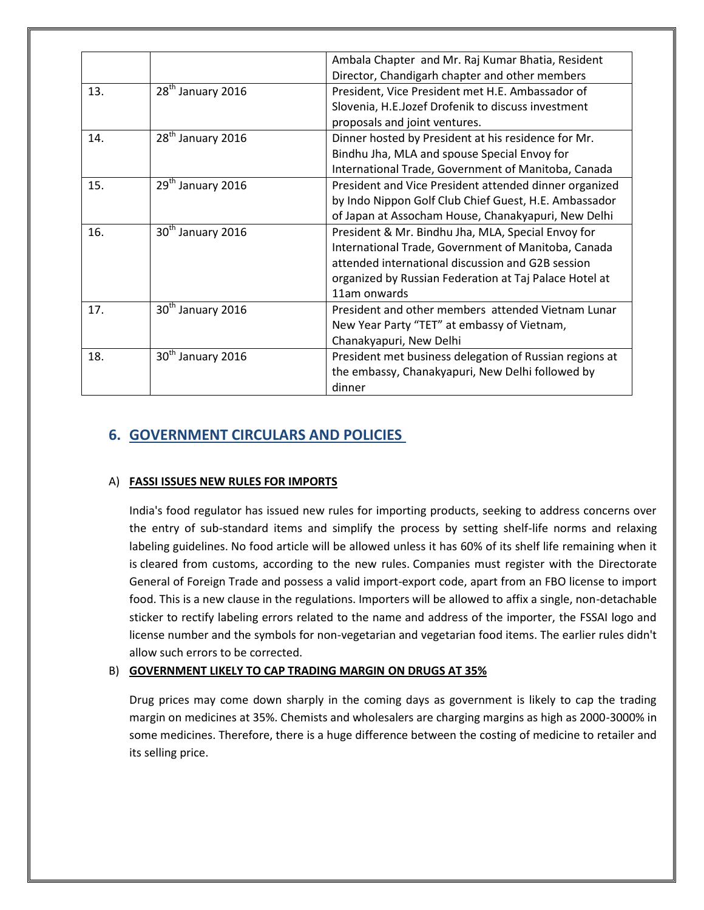|     |                               | Ambala Chapter and Mr. Raj Kumar Bhatia, Resident       |
|-----|-------------------------------|---------------------------------------------------------|
|     |                               | Director, Chandigarh chapter and other members          |
| 13. | 28 <sup>th</sup> January 2016 | President, Vice President met H.E. Ambassador of        |
|     |                               | Slovenia, H.E.Jozef Drofenik to discuss investment      |
|     |                               | proposals and joint ventures.                           |
| 14. | 28 <sup>th</sup> January 2016 | Dinner hosted by President at his residence for Mr.     |
|     |                               | Bindhu Jha, MLA and spouse Special Envoy for            |
|     |                               | International Trade, Government of Manitoba, Canada     |
| 15. | 29 <sup>th</sup> January 2016 | President and Vice President attended dinner organized  |
|     |                               | by Indo Nippon Golf Club Chief Guest, H.E. Ambassador   |
|     |                               | of Japan at Assocham House, Chanakyapuri, New Delhi     |
| 16. | 30 <sup>th</sup> January 2016 | President & Mr. Bindhu Jha, MLA, Special Envoy for      |
|     |                               | International Trade, Government of Manitoba, Canada     |
|     |                               | attended international discussion and G2B session       |
|     |                               | organized by Russian Federation at Taj Palace Hotel at  |
|     |                               | 11am onwards                                            |
| 17. | $30th$ January 2016           | President and other members attended Vietnam Lunar      |
|     |                               | New Year Party "TET" at embassy of Vietnam,             |
|     |                               | Chanakyapuri, New Delhi                                 |
| 18. | $30th$ January 2016           | President met business delegation of Russian regions at |
|     |                               | the embassy, Chanakyapuri, New Delhi followed by        |
|     |                               | dinner                                                  |
|     |                               |                                                         |

# **6. GOVERNMENT CIRCULARS AND POLICIES**

## A) **FASSI ISSUES NEW RULES FOR IMPORTS**

India's food regulator has issued new rules for importing products, seeking to address concerns over the entry of sub-standard items and simplify the process by setting shelf-life norms and relaxing labeling guidelines. No food article will be allowed unless it has 60% of its shelf life remaining when it is cleared from customs, according to the new rules. Companies must register with the Directorate General of Foreign Trade and possess a valid import-export code, apart from an FBO license to import food. This is a new clause in the regulations. Importers will be allowed to affix a single, non-detachable sticker to rectify labeling errors related to the name and address of the importer, the FSSAI logo and license number and the symbols for non-vegetarian and vegetarian food items. The earlier rules didn't allow such errors to be corrected.

## B) **GOVERNMENT LIKELY TO CAP TRADING MARGIN ON DRUGS AT 35%**

Drug prices may come down sharply in the coming days as government is likely to cap the trading margin on medicines at 35%. Chemists and wholesalers are charging margins as high as 2000-3000% in some medicines. Therefore, there is a huge difference between the costing of medicine to retailer and its selling price.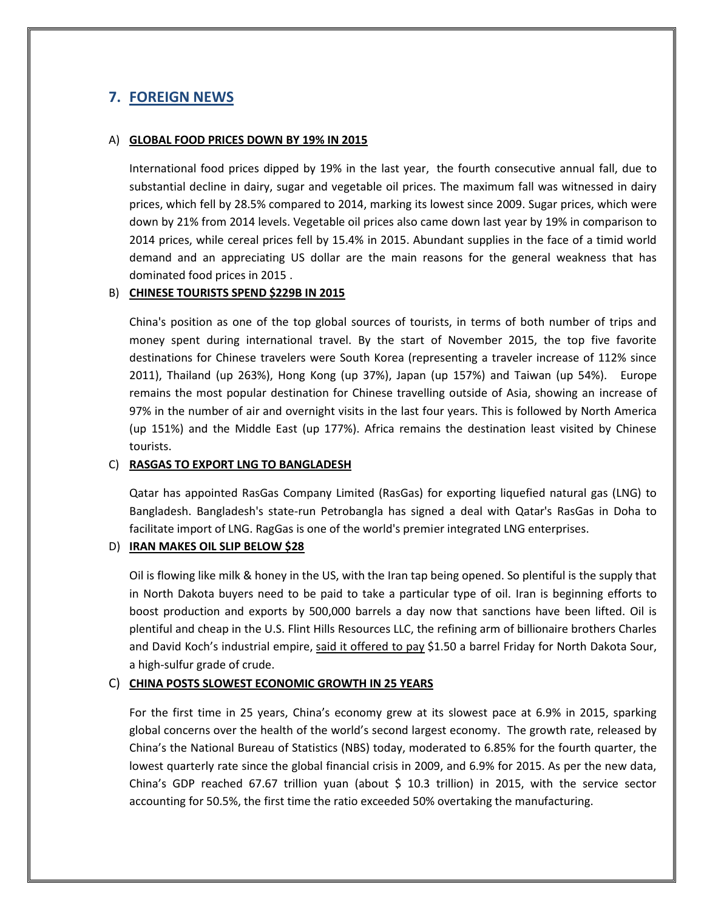# **7. FOREIGN NEWS**

#### A) **GLOBAL FOOD PRICES DOWN BY 19% IN 2015**

International food prices dipped by 19% in the last year, the fourth consecutive annual fall, due to substantial decline in dairy, sugar and vegetable oil prices. The maximum fall was witnessed in dairy prices, which fell by 28.5% compared to 2014, marking its lowest since 2009. Sugar prices, which were down by 21% from 2014 levels. Vegetable oil prices also came down last year by 19% in comparison to 2014 prices, while cereal prices fell by 15.4% in 2015. Abundant supplies in the face of a timid world demand and an appreciating US dollar are the main reasons for the general weakness that has dominated food prices in 2015 .

### B) **CHINESE TOURISTS SPEND \$229B IN 2015**

China's position as one of the top global sources of tourists, in terms of both number of trips and money spent during international travel. By the start of November 2015, the top five favorite destinations for Chinese travelers were South Korea (representing a traveler increase of 112% since 2011), Thailand (up 263%), Hong Kong (up 37%), Japan (up 157%) and Taiwan (up 54%). Europe remains the most popular destination for Chinese travelling outside of Asia, showing an increase of 97% in the number of air and overnight visits in the last four years. This is followed by North America (up 151%) and the Middle East (up 177%). Africa remains the destination least visited by Chinese tourists.

#### C) **RASGAS TO EXPORT LNG TO BANGLADESH**

Qatar has appointed RasGas Company Limited (RasGas) for exporting liquefied natural gas (LNG) to Bangladesh. Bangladesh's state-run Petrobangla has signed a deal with Qatar's RasGas in Doha to facilitate import of LNG. RagGas is one of the world's premier integrated LNG enterprises.

## D) **IRAN MAKES OIL SLIP BELOW \$28**

Oil is flowing like milk & honey in the US, with the Iran tap being opened. So plentiful is the supply that in North Dakota buyers need to be paid to take a particular type of oil. Iran is beginning efforts to boost production and exports by 500,000 barrels a day now that sanctions have been lifted. Oil is plentiful and cheap in the U.S. Flint Hills Resources LLC, the refining arm of billionaire brothers Charles and David Koch's industrial empire, said it offered to pay \$1.50 a barrel Friday for North Dakota Sour, a high-sulfur grade of crude.

## C) **CHINA POSTS SLOWEST ECONOMIC GROWTH IN 25 YEARS**

For the first time in 25 years, China's economy grew at its slowest pace at 6.9% in 2015, sparking global concerns over the health of the world's second largest economy. The growth rate, released by China's the National Bureau of Statistics (NBS) today, moderated to 6.85% for the fourth quarter, the lowest quarterly rate since the global financial crisis in 2009, and 6.9% for 2015. As per the new data, China's GDP reached 67.67 trillion yuan (about \$ 10.3 trillion) in 2015, with the service sector accounting for 50.5%, the first time the ratio exceeded 50% overtaking the manufacturing.